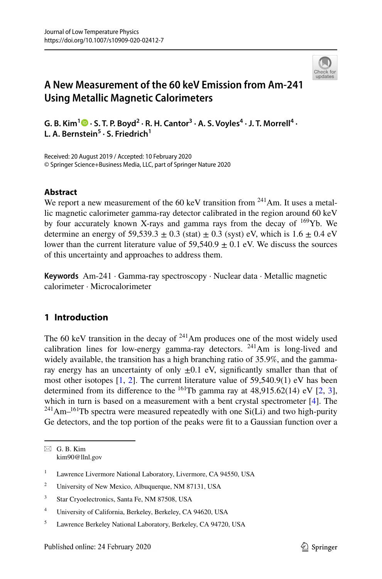

# **A New Measurement of the 60 keV Emission from Am‑241 Using Metallic Magnetic Calorimeters**

G. B. Kim<sup>1</sup>  $\bullet$  [·](http://orcid.org/0000-0002-0523-5496) S. T. P. Boyd<sup>2</sup> · R. H. Cantor<sup>3</sup> · A. S. Voyles<sup>4</sup> · J. T. Morrell<sup>4</sup> · L. A. Bernstein<sup>5</sup> · S. Friedrich<sup>1</sup>

Received: 20 August 2019 / Accepted: 10 February 2020 © Springer Science+Business Media, LLC, part of Springer Nature 2020

# **Abstract**

We report a new measurement of the 60 keV transition from  $^{241}$ Am. It uses a metallic magnetic calorimeter gamma-ray detector calibrated in the region around 60 keV by four accurately known X-rays and gamma rays from the decay of  $169$ Yb. We determine an energy of 59,539.3  $\pm$  0.3 (stat)  $\pm$  0.3 (syst) eV, which is 1.6  $\pm$  0.4 eV lower than the current literature value of  $59.540.9 + 0.1$  eV. We discuss the sources of this uncertainty and approaches to address them.

**Keywords** Am-241 · Gamma-ray spectroscopy · Nuclear data · Metallic magnetic calorimeter · Microcalorimeter

# **1 Introduction**

The 60 keV transition in the decay of  $241$ Am produces one of the most widely used calibration lines for low-energy gamma-ray detectors.  $^{241}$ Am is long-lived and widely available, the transition has a high branching ratio of 35.9%, and the gammaray energy has an uncertainty of only  $\pm 0.1$  eV, significantly smaller than that of most other isotopes [1, 2]. The current literature value of 59,540.9(1) eV has been determined from its difference to the  $^{161}$ Tb gamma ray at 48,915.62(14) eV [2, 3], which in turn is based on a measurement with a bent crystal spectrometer [4]. The  $241$ Am<sup>-161</sup>Tb spectra were measured repeatedly with one Si(Li) and two high-purity Ge detectors, and the top portion of the peaks were ft to a Gaussian function over a

 $\boxtimes$  G. B. Kim kim90@llnl.gov

<sup>&</sup>lt;sup>1</sup> Lawrence Livermore National Laboratory, Livermore, CA 94550, USA

<sup>&</sup>lt;sup>2</sup> University of New Mexico, Albuquerque, NM 87131, USA

<sup>3</sup> Star Cryoelectronics, Santa Fe, NM 87508, USA

<sup>4</sup> University of California, Berkeley, Berkeley, CA 94620, USA

<sup>5</sup> Lawrence Berkeley National Laboratory, Berkeley, CA 94720, USA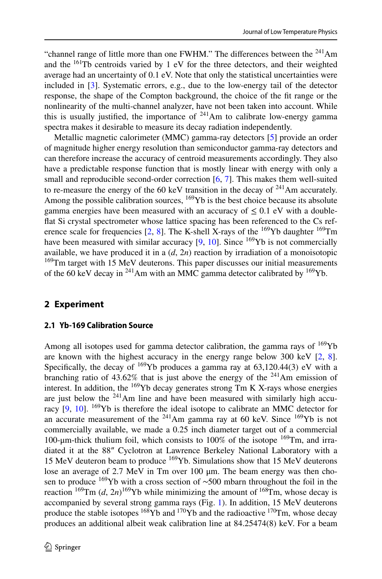"channel range of little more than one FWHM." The differences between the <sup>241</sup>Am and the 161Tb centroids varied by 1 eV for the three detectors, and their weighted average had an uncertainty of 0.1 eV. Note that only the statistical uncertainties were included in [3]. Systematic errors, e.g., due to the low-energy tail of the detector response, the shape of the Compton background, the choice of the ft range or the nonlinearity of the multi-channel analyzer, have not been taken into account. While this is usually justified, the importance of  $241$ Am to calibrate low-energy gamma spectra makes it desirable to measure its decay radiation independently.

Metallic magnetic calorimeter (MMC) gamma-ray detectors [5] provide an order of magnitude higher energy resolution than semiconductor gamma-ray detectors and can therefore increase the accuracy of centroid measurements accordingly. They also have a predictable response function that is mostly linear with energy with only a small and reproducible second-order correction [6, 7]. This makes them well-suited to re-measure the energy of the 60 keV transition in the decay of  $241$ Am accurately. Among the possible calibration sources, <sup>169</sup>Yb is the best choice because its absolute gamma energies have been measured with an accuracy of  $\leq 0.1$  eV with a doublefat Si crystal spectrometer whose lattice spacing has been referenced to the Cs reference scale for frequencies [2, 8]. The K-shell X-rays of the 169Yb daughter 169Tm have been measured with similar accuracy  $[9, 10]$ . Since  $^{169}Yb$  is not commercially available, we have produced it in a  $(d, 2n)$  reaction by irradiation of a monoisotopic <sup>169</sup>Tm target with 15 MeV deuterons. This paper discusses our initial measurements of the 60 keV decay in  $^{241}$ Am with an MMC gamma detector calibrated by  $^{169}$ Yb.

# **2 Experiment**

# **2.1 Yb‑169 Calibration Source**

Among all isotopes used for gamma detector calibration, the gamma rays of  $169Yb$ are known with the highest accuracy in the energy range below 300 keV  $[2, 8]$ . Specifically, the decay of  $169$ Yb produces a gamma ray at 63,120.44(3) eV with a branching ratio of  $43.62\%$  that is just above the energy of the <sup>241</sup>Am emission of interest. In addition, the 169Yb decay generates strong Tm K X-rays whose energies are just below the  $241$ Am line and have been measured with similarly high accuracy  $[9, 10]$ . <sup>169</sup>Yb is therefore the ideal isotope to calibrate an MMC detector for an accurate measurement of the  $241$ Am gamma ray at 60 keV. Since  $169$ Yb is not commercially available, we made a 0.25 inch diameter target out of a commercial 100-μm-thick thulium foil, which consists to 100% of the isotope  $169$ Tm, and irradiated it at the 88″ Cyclotron at Lawrence Berkeley National Laboratory with a 15 MeV deuteron beam to produce 169Yb. Simulations show that 15 MeV deuterons lose an average of 2.7 MeV in Tm over 100 μm. The beam energy was then chosen to produce <sup>169</sup>Yb with a cross section of ∼500 mbarn throughout the foil in the reaction  $^{169}$ Tm (*d*,  $2n)^{169}$ Yb while minimizing the amount of  $^{168}$ Tm, whose decay is accompanied by several strong gamma rays (Fig. 1). In addition, 15 MeV deuterons produce the stable isotopes  $168\overline{Y}b$  and  $170\overline{Y}b$  and the radioactive  $170\overline{T}m$ , whose decay produces an additional albeit weak calibration line at 84.25474(8) keV. For a beam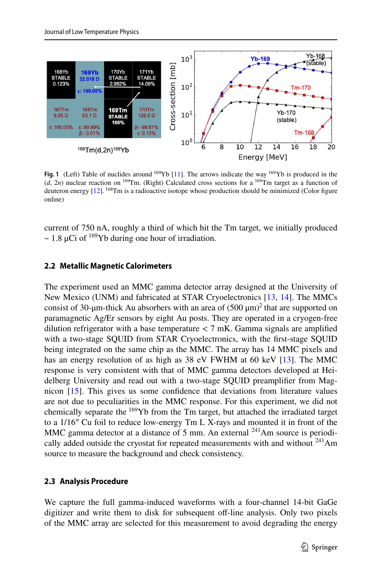

**Fig. 1** (Left) Table of nuclides around <sup>169</sup>Yb [11]. The arrows indicate the way <sup>169</sup>Yb is produced in the  $(d, 2n)$  nuclear reaction on <sup>169</sup>Tm. (Right) Calculated cross sections for a <sup>169</sup>Tm target as a function of deuteron energy [12]. <sup>168</sup>Tm is a radioactive isotope whose production should be minimized (Color figure online)

current of 750 nA, roughly a third of which hit the Tm target, we initially produced  $\sim$  1.8 µCi of <sup>169</sup>Yb during one hour of irradiation.

#### **2.2 Metallic Magnetic Calorimeters**

The experiment used an MMC gamma detector array designed at the University of New Mexico (UNM) and fabricated at STAR Cryoelectronics [13, 14]. The MMCs consist of 30-µm-thick Au absorbers with an area of  $(500 \,\mu m)^2$  that are supported on paramagnetic Ag/Er sensors by eight Au posts. They are operated in a cryogen-free dilution refrigerator with a base temperature  $<$  7 mK. Gamma signals are amplified with a two-stage SQUID from STAR Cryoelectronics, with the frst-stage SQUID being integrated on the same chip as the MMC. The array has 14 MMC pixels and has an energy resolution of as high as 38 eV FWHM at 60 keV [13]. The MMC response is very consistent with that of MMC gamma detectors developed at Heidelberg University and read out with a two-stage SQUID preamplifer from Magnicon [15]. This gives us some confdence that deviations from literature values are not due to peculiarities in the MMC response. For this experiment, we did not chemically separate the 169Yb from the Tm target, but attached the irradiated target to a 1/16″ Cu foil to reduce low-energy Tm L X-rays and mounted it in front of the MMC gamma detector at a distance of 5 mm. An external  $^{241}$ Am source is periodically added outside the cryostat for repeated measurements with and without  $241$ Am source to measure the background and check consistency.

#### **2.3 Analysis Procedure**

We capture the full gamma-induced waveforms with a four-channel 14-bit GaGe digitizer and write them to disk for subsequent off-line analysis. Only two pixels of the MMC array are selected for this measurement to avoid degrading the energy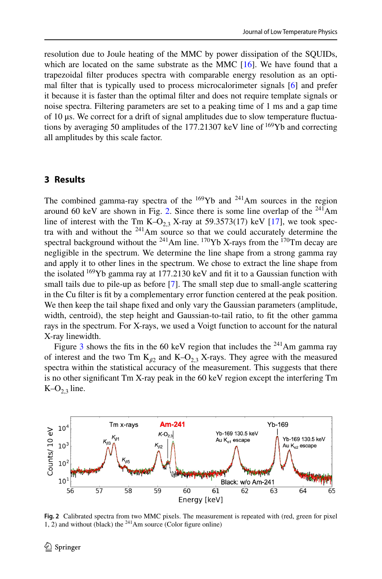resolution due to Joule heating of the MMC by power dissipation of the SQUIDs, which are located on the same substrate as the MMC  $[16]$ . We have found that a trapezoidal flter produces spectra with comparable energy resolution as an optimal flter that is typically used to process microcalorimeter signals [6] and prefer it because it is faster than the optimal flter and does not require template signals or noise spectra. Filtering parameters are set to a peaking time of 1 ms and a gap time of 10 μs. We correct for a drift of signal amplitudes due to slow temperature fuctuations by averaging 50 amplitudes of the 177.21307 keV line of 169Yb and correcting all amplitudes by this scale factor.

### **3 Results**

The combined gamma-ray spectra of the  $169$ Yb and  $241$ Am sources in the region around 60 keV are shown in Fig. 2. Since there is some line overlap of the  $^{241}$ Am line of interest with the Tm K–O<sub>23</sub> X-ray at 59.3573(17) keV [17], we took spectra with and without the  $241$ Am source so that we could accurately determine the spectral background without the <sup>241</sup>Am line. <sup>170</sup>Yb X-rays from the <sup>170</sup>Tm decay are negligible in the spectrum. We determine the line shape from a strong gamma ray and apply it to other lines in the spectrum. We chose to extract the line shape from the isolated  $169$ Yb gamma ray at 177.2130 keV and fit it to a Gaussian function with small tails due to pile-up as before [7]. The small step due to small-angle scattering in the Cu flter is ft by a complementary error function centered at the peak position. We then keep the tail shape fxed and only vary the Gaussian parameters (amplitude, width, centroid), the step height and Gaussian-to-tail ratio, to fit the other gamma rays in the spectrum. For X-rays, we used a Voigt function to account for the natural X-ray linewidth.

Figure 3 shows the fits in the 60 keV region that includes the  $^{241}$ Am gamma ray of interest and the two Tm  $K_{\beta2}$  and  $K-O_{2,3}$  X-rays. They agree with the measured spectra within the statistical accuracy of the measurement. This suggests that there is no other signifcant Tm X-ray peak in the 60 keV region except the interfering Tm  $K-O<sub>2,3</sub>$  line.



**Fig. 2** Calibrated spectra from two MMC pixels. The measurement is repeated with (red, green for pixel 1, 2) and without (black) the  $^{241}$ Am source (Color figure online)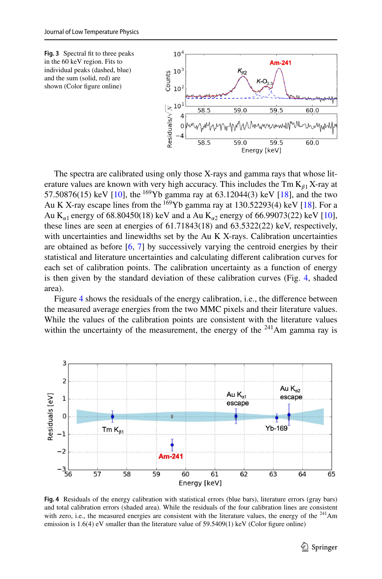

The spectra are calibrated using only those X-rays and gamma rays that whose literature values are known with very high accuracy. This includes the  $Tm K_{a_1}X$ -ray at 57.50876(15) keV [10], the <sup>169</sup>Yb gamma ray at 63.12044(3) keV [18], and the two Au K X-ray escape lines from the  $^{169}$ Yb gamma ray at 130.52293(4) keV [18]. For a Au K<sub>*n*1</sub> energy of 68.80450(18) keV and a Au K<sub>*n*2</sub> energy of 66.99073(22) keV [10], these lines are seen at energies of 61.71843(18) and 63.5322(22) keV, respectively, with uncertainties and linewidths set by the Au K X-rays. Calibration uncertainties are obtained as before [6, 7] by successively varying the centroid energies by their statistical and literature uncertainties and calculating diferent calibration curves for each set of calibration points. The calibration uncertainty as a function of energy is then given by the standard deviation of these calibration curves (Fig. 4, shaded area).

Figure 4 shows the residuals of the energy calibration, i.e., the diference between the measured average energies from the two MMC pixels and their literature values. While the values of the calibration points are consistent with the literature values within the uncertainty of the measurement, the energy of the  $241$ Am gamma ray is



**Fig. 4** Residuals of the energy calibration with statistical errors (blue bars), literature errors (gray bars) and total calibration errors (shaded area). While the residuals of the four calibration lines are consistent with zero, i.e., the measured energies are consistent with the literature values, the energy of the  $^{241}$ Am emission is  $1.6(4)$  eV smaller than the literature value of  $59.5409(1)$  keV (Color figure online)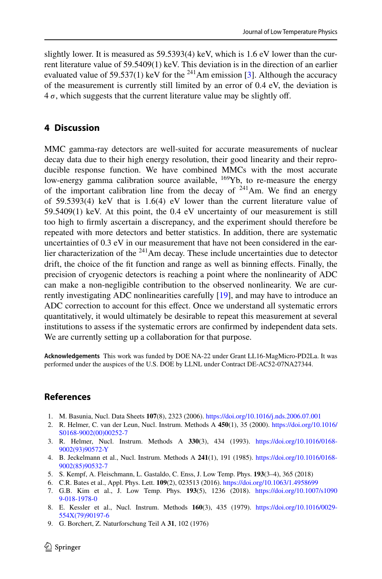slightly lower. It is measured as  $59.5393(4)$  keV, which is 1.6 eV lower than the current literature value of 59.5409(1) keV. This deviation is in the direction of an earlier evaluated value of 59.537(1) keV for the <sup>241</sup>Am emission [3]. Although the accuracy of the measurement is currently still limited by an error of 0.4 eV, the deviation is  $4\sigma$ , which suggests that the current literature value may be slightly off.

# **4 Discussion**

MMC gamma-ray detectors are well-suited for accurate measurements of nuclear decay data due to their high energy resolution, their good linearity and their reproducible response function. We have combined MMCs with the most accurate low-energy gamma calibration source available,  $^{169}Yb$ , to re-measure the energy of the important calibration line from the decay of  $241$ Am. We find an energy of 59.5393(4) keV that is  $1.6(4)$  eV lower than the current literature value of 59.5409(1) keV. At this point, the 0.4 eV uncertainty of our measurement is still too high to frmly ascertain a discrepancy, and the experiment should therefore be repeated with more detectors and better statistics. In addition, there are systematic uncertainties of 0.3 eV in our measurement that have not been considered in the earlier characterization of the  $241$ Am decay. These include uncertainties due to detector drift, the choice of the ft function and range as well as binning efects. Finally, the precision of cryogenic detectors is reaching a point where the nonlinearity of ADC can make a non-negligible contribution to the observed nonlinearity. We are currently investigating ADC nonlinearities carefully [19], and may have to introduce an ADC correction to account for this efect. Once we understand all systematic errors quantitatively, it would ultimately be desirable to repeat this measurement at several institutions to assess if the systematic errors are confrmed by independent data sets. We are currently setting up a collaboration for that purpose.

**Acknowledgements** This work was funded by DOE NA-22 under Grant LL16-MagMicro-PD2La. It was performed under the auspices of the U.S. DOE by LLNL under Contract DE-AC52-07NA27344.

# **References**

- 1. M. Basunia, Nucl. Data Sheets **107**(8), 2323 (2006).<https://doi.org/10.1016/j.nds.2006.07.001>
- 2. R. Helmer, C. van der Leun, Nucl. Instrum. Methods A **450**(1), 35 (2000). [https://doi.org/10.1016/](https://doi.org/10.1016/S0168-9002(00)00252-7) [S0168-9002\(00\)00252-7](https://doi.org/10.1016/S0168-9002(00)00252-7)
- 3. R. Helmer, Nucl. Instrum. Methods A **330**(3), 434 (1993). [https://doi.org/10.1016/0168-](https://doi.org/10.1016/0168-9002(93)90572-Y) [9002\(93\)90572-Y](https://doi.org/10.1016/0168-9002(93)90572-Y)
- 4. B. Jeckelmann et al., Nucl. Instrum. Methods A **241**(1), 191 (1985). [https://doi.org/10.1016/0168-](https://doi.org/10.1016/0168-9002(85)90532-7) [9002\(85\)90532-7](https://doi.org/10.1016/0168-9002(85)90532-7)
- 5. S. Kempf, A. Fleischmann, L. Gastaldo, C. Enss, J. Low Temp. Phys. **193**(3–4), 365 (2018)
- 6. C.R. Bates et al., Appl. Phys. Lett. **109**(2), 023513 (2016). <https://doi.org/10.1063/1.4958699>
- 7. G.B. Kim et al., J. Low Temp. Phys. **193**(5), 1236 (2018). [https://doi.org/10.1007/s1090](https://doi.org/10.1007/s10909-018-1978-0) [9-018-1978-0](https://doi.org/10.1007/s10909-018-1978-0)
- 8. E. Kessler et al., Nucl. Instrum. Methods **160**(3), 435 (1979). [https://doi.org/10.1016/0029-](https://doi.org/10.1016/0029-554X(79)90197-6) [554X\(79\)90197-6](https://doi.org/10.1016/0029-554X(79)90197-6)
- 9. G. Borchert, Z. Naturforschung Teil A **31**, 102 (1976)